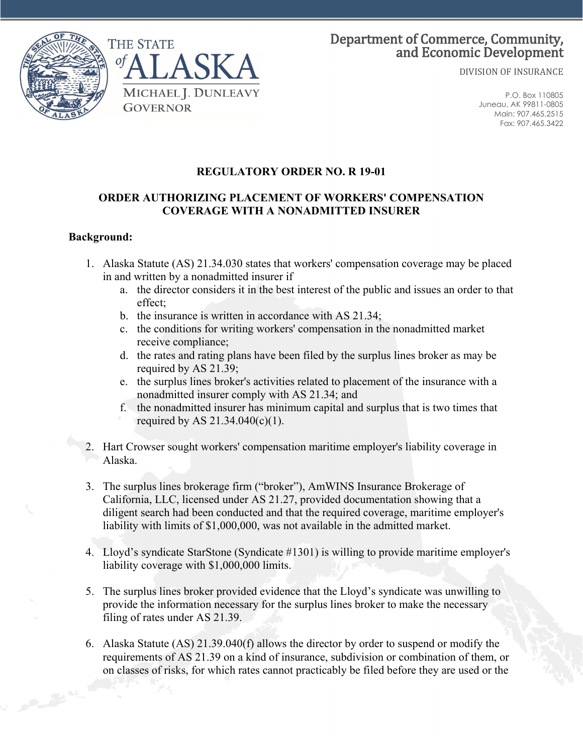

DIVISION OF INSURANCE

P.O. Box 110805 Juneau, AK 99811-0805 Main: 907.465.2515 Fax: 907.465.3422

# **REGULATORY ORDER NO. R 19-01**

#### **ORDER AUTHORIZING PLACEMENT OF WORKERS' COMPENSATION COVERAGE WITH A NONADMITTED INSURER**

### **Background:**

- 1. Alaska Statute (AS) 21.34.030 states that workers' compensation coverage may be placed in and written by a nonadmitted insurer if
	- a. the director considers it in the best interest of the public and issues an order to that effect;
	- b. the insurance is written in accordance with AS 21.34;
	- c. the conditions for writing workers' compensation in the nonadmitted market receive compliance;
	- d. the rates and rating plans have been filed by the surplus lines broker as may be required by AS 21.39;
	- e. the surplus lines broker's activities related to placement of the insurance with a nonadmitted insurer comply with AS 21.34; and
	- f. the nonadmitted insurer has minimum capital and surplus that is two times that required by AS 21.34.040(c)(1).
- 2. Hart Crowser sought workers' compensation maritime employer's liability coverage in Alaska.
- 3. The surplus lines brokerage firm ("broker"), AmWINS Insurance Brokerage of California, LLC, licensed under AS 21.27, provided documentation showing that a diligent search had been conducted and that the required coverage, maritime employer's liability with limits of \$1,000,000, was not available in the admitted market.
- 4. Lloyd's syndicate StarStone (Syndicate #1301) is willing to provide maritime employer's liability coverage with \$1,000,000 limits.
- 5. The surplus lines broker provided evidence that the Lloyd's syndicate was unwilling to provide the information necessary for the surplus lines broker to make the necessary filing of rates under AS 21.39.
- 6. Alaska Statute (AS) 21.39.040(f) allows the director by order to suspend or modify the requirements of AS 21.39 on a kind of insurance, subdivision or combination of them, or on classes of risks, for which rates cannot practicably be filed before they are used or the

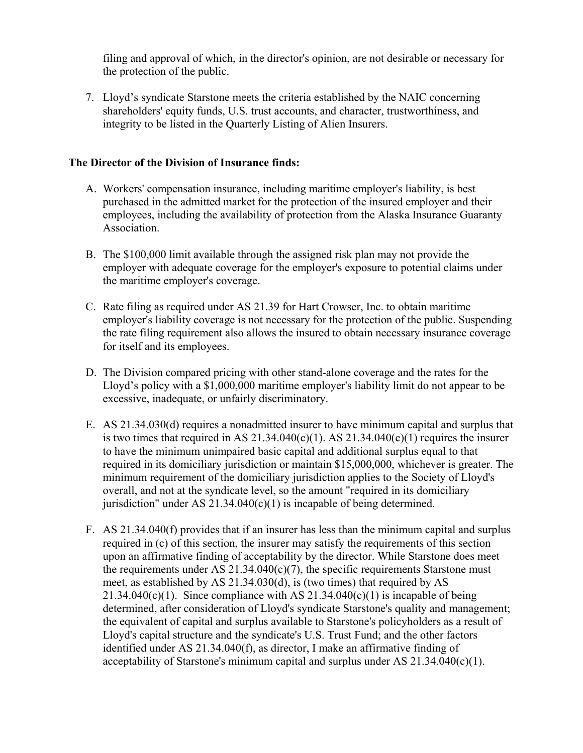filing and approval of which, in the director's opinion, are not desirable or necessary for the protection of the public.

7. Lloyd's syndicate Starstone meets the criteria established by the NAIC concerning shareholders' equity funds, U.S. trust accounts, and character, trustworthiness, and integrity to be listed in the Quarterly Listing of Alien Insurers.

### **The Director of the Division of Insurance finds:**

- A. Workers' compensation insurance, including maritime employer's liability, is best purchased in the admitted market for the protection of the insured employer and their employees, including the availability of protection from the Alaska Insurance Guaranty Association.
- B. The \$100,000 limit available through the assigned risk plan may not provide the employer with adequate coverage for the employer's exposure to potential claims under the maritime employer's coverage.
- C. Rate filing as required under AS 21.39 for Hart Crowser, Inc. to obtain maritime employer's liability coverage is not necessary for the protection of the public. Suspending the rate filing requirement also allows the insured to obtain necessary insurance coverage for itself and its employees.
- D. The Division compared pricing with other stand-alone coverage and the rates for the Lloyd's policy with a \$1,000,000 maritime employer's liability limit do not appear to be excessive, inadequate, or unfairly discriminatory.
- E. AS 21.34.030(d) requires a nonadmitted insurer to have minimum capital and surplus that is two times that required in AS 21.34.040(c)(1). AS 21.34.040(c)(1) requires the insurer to have the minimum unimpaired basic capital and additional surplus equal to that required in its domiciliary jurisdiction or maintain \$15,000,000, whichever is greater. The minimum requirement of the domiciliary jurisdiction applies to the Society of Lloyd's overall, and not at the syndicate level, so the amount "required in its domiciliary jurisdiction" under AS  $21.34.040(c)(1)$  is incapable of being determined.
- F. AS 21.34.040(f) provides that if an insurer has less than the minimum capital and surplus required in (c) of this section, the insurer may satisfy the requirements of this section upon an affirmative finding of acceptability by the director. While Starstone does meet the requirements under AS  $21.34.040(c)(7)$ , the specific requirements Starstone must meet, as established by AS 21.34.030(d), is (two times) that required by AS 21.34.040(c)(1). Since compliance with AS  $21.34.040(c)(1)$  is incapable of being determined, after consideration of Lloyd's syndicate Starstone's quality and management; the equivalent of capital and surplus available to Starstone's policyholders as a result of Lloyd's capital structure and the syndicate's U.S. Trust Fund; and the other factors identified under AS 21.34.040(f), as director, I make an affirmative finding of acceptability of Starstone's minimum capital and surplus under AS  $21.34.040(c)(1)$ .